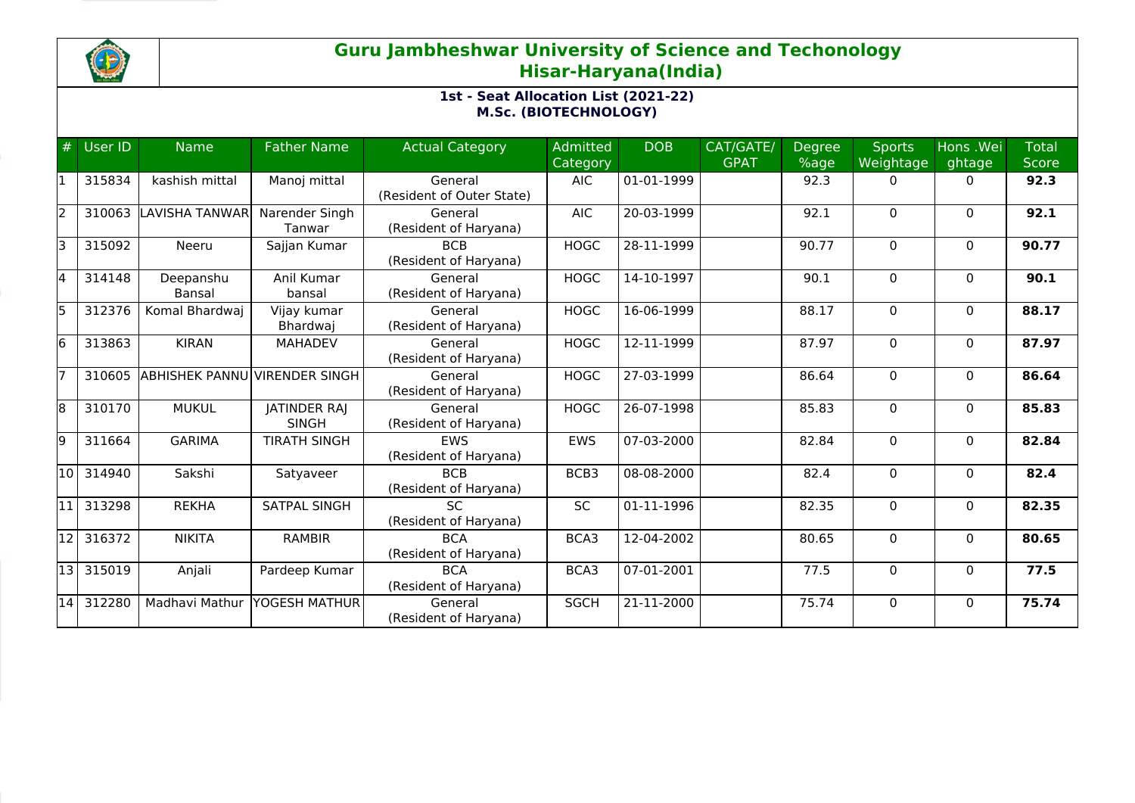

## **Guru Jambheshwar University of Science and Techonology Hisar-Haryana(India)**

## **1st - Seat Allocation List (2021-22) M.Sc. (BIOTECHNOLOGY)**

| #   | User ID | <b>Name</b>           | <b>Father Name</b>                  | <b>Actual Category</b>               | Admitted<br>Category | <b>DOB</b> | CAT/GATE/<br><b>GPAT</b> | <b>Degree</b><br>%age | <b>Sports</b><br>Weightage | Hons .Wei<br>ghtage | <b>Total</b><br><b>Score</b> |
|-----|---------|-----------------------|-------------------------------------|--------------------------------------|----------------------|------------|--------------------------|-----------------------|----------------------------|---------------------|------------------------------|
|     | 315834  | kashish mittal        | Manoj mittal                        | General<br>(Resident of Outer State) | <b>AIC</b>           | 01-01-1999 |                          | 92.3                  | $\Omega$                   | $\Omega$            | 92.3                         |
| I2  | 310063  | ILAVISHA TANWAR       | Narender Singh<br>Tanwar            | General<br>(Resident of Haryana)     | <b>AIC</b>           | 20-03-1999 |                          | 92.1                  | $\mathbf{0}$               | $\Omega$            | 92.1                         |
|     | 315092  | Neeru                 | Sajjan Kumar                        | <b>BCB</b><br>(Resident of Haryana)  | <b>HOGC</b>          | 28-11-1999 |                          | 90.77                 | $\mathbf 0$                | $\mathbf{0}$        | 90.77                        |
|     | 314148  | Deepanshu<br>Bansal   | Anil Kumar<br>bansal                | General<br>(Resident of Haryana)     | <b>HOGC</b>          | 14-10-1997 |                          | 90.1                  | $\Omega$                   | $\mathbf{0}$        | 90.1                         |
| l5  | 312376  | Komal Bhardwaj        | Vijay kumar<br>Bhardwaj             | General<br>(Resident of Haryana)     | <b>HOGC</b>          | 16-06-1999 |                          | 88.17                 | $\Omega$                   | $\mathbf{0}$        | 88.17                        |
| l6  | 313863  | <b>KIRAN</b>          | <b>MAHADEV</b>                      | General<br>(Resident of Haryana)     | <b>HOGC</b>          | 12-11-1999 |                          | 87.97                 | $\mathbf{0}$               | $\mathbf{0}$        | 87.97                        |
|     | 310605  | <b>ABHISHEK PANNU</b> | VIRENDER SINGH                      | General<br>(Resident of Haryana)     | <b>HOGC</b>          | 27-03-1999 |                          | 86.64                 | $\Omega$                   | $\mathbf{0}$        | 86.64                        |
| 18  | 310170  | <b>MUKUL</b>          | <b>JATINDER RAJ</b><br><b>SINGH</b> | General<br>(Resident of Haryana)     | <b>HOGC</b>          | 26-07-1998 |                          | 85.83                 | $\Omega$                   | $\mathbf{0}$        | 85.83                        |
| 19  | 311664  | <b>GARIMA</b>         | <b>TIRATH SINGH</b>                 | <b>EWS</b><br>(Resident of Haryana)  | <b>EWS</b>           | 07-03-2000 |                          | 82.84                 | 0                          | $\mathbf{0}$        | 82.84                        |
| 10  | 314940  | Sakshi                | Satyaveer                           | <b>BCB</b><br>(Resident of Haryana)  | BCB3                 | 08-08-2000 |                          | 82.4                  | $\Omega$                   | $\Omega$            | 82.4                         |
| l11 | 313298  | <b>REKHA</b>          | SATPAL SINGH                        | <b>SC</b><br>(Resident of Haryana)   | <b>SC</b>            | 01-11-1996 |                          | 82.35                 | $\Omega$                   | $\mathbf{0}$        | 82.35                        |
| 12  | 316372  | <b>NIKITA</b>         | <b>RAMBIR</b>                       | <b>BCA</b><br>(Resident of Haryana)  | BCA3                 | 12-04-2002 |                          | 80.65                 | $\Omega$                   | $\Omega$            | 80.65                        |
| 13  | 315019  | Anjali                | Pardeep Kumar                       | <b>BCA</b><br>(Resident of Haryana)  | BCA3                 | 07-01-2001 |                          | 77.5                  | 0                          | $\mathbf{0}$        | 77.5                         |
| 14  | 312280  | Madhavi Mathur        | YOGESH MATHUR                       | General<br>(Resident of Haryana)     | <b>SGCH</b>          | 21-11-2000 |                          | 75.74                 | $\Omega$                   | $\Omega$            | 75.74                        |